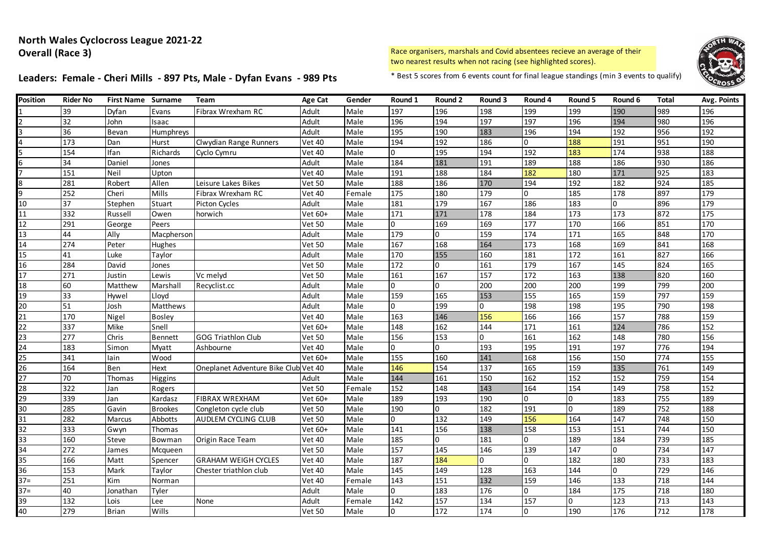# Leaders: Female - Cheri Mills - 897 Pts, Male - Dyfan Evans - 989 Pts \* Best 5 scores from 6 events count for final league standings (min 3 events to qualify)



| <b>Position</b> | Rider No | <b>First Name Surname</b> |                 | Team                          | Age Cat       | Gender | Round 1  | Round 2        | Round 3 | Round 4        | Round 5  | Round 6        | Total | Avg. Points |
|-----------------|----------|---------------------------|-----------------|-------------------------------|---------------|--------|----------|----------------|---------|----------------|----------|----------------|-------|-------------|
|                 | 39       | Dyfan                     | Evans           | Fibrax Wrexham RC             | Adult         | Male   | 197      | 196            | 198     | 199            | 199      | 190            | 989   | 196         |
|                 | 32       | John                      | Isaac           |                               | Adult         | Male   | 196      | 194            | 197     | 197            | 196      | 194            | 980   | 196         |
|                 | 36       | Bevan                     | Humphreys       |                               | Adult         | Male   | 195      | 190            | 183     | 196            | 194      | 192            | 956   | 192         |
|                 | 173      | Dan                       | Hurst           | Clwydian Range Runners        | <b>Vet 40</b> | Male   | 194      | 192            | 186     | $\Omega$       | 188      | 191            | 951   | 190         |
|                 | 154      | Ifan                      | Richards        | Cyclo Cymru                   | <b>Vet 40</b> | Male   | $\Omega$ | 195            | 194     | 192            | 183      | 174            | 938   | 188         |
| 6               | 34       | Daniel                    | Jones           |                               | Adult         | Male   | 184      | 181            | 191     | 189            | 188      | 186            | 930   | 186         |
|                 | 151      | Neil                      | Upton           |                               | Vet 40        | Male   | 191      | 188            | 184     | 182            | 180      | 171            | 925   | 183         |
| 8               | 281      | Robert                    | Allen           | Leisure Lakes Bikes           | Vet 50        | Male   | 188      | 186            | 170     | 194            | 192      | 182            | 924   | 185         |
| q               | 252      | Cheri                     | Mills           | Fibrax Wrexham RC             | <b>Vet 40</b> | Female | 175      | 180            | 179     | l <sub>0</sub> | 185      | 178            | 897   | 179         |
| 10              | 37       | Stephen                   | Stuart          | <b>Picton Cycles</b>          | Adult         | Male   | 181      | 179            | 167     | 186            | 183      | $\overline{0}$ | 896   | 179         |
| 11              | 332      | Russell                   | Owen            | horwich                       | Vet 60+       | Male   | 171      | 171            | 178     | 184            | 173      | 173            | 872   | 175         |
| $\overline{12}$ | 291      | George                    | Peers           |                               | <b>Vet 50</b> | Male   | $\Omega$ | 169            | 169     | 177            | 170      | 166            | 851   | 170         |
| $\overline{13}$ | 44       | Ally                      | Macpherson      |                               | Adult         | Male   | 179      | 0              | 159     | 174            | 171      | 165            | 848   | 170         |
| 14              | 274      | Peter                     | Hughes          |                               | <b>Vet 50</b> | Male   | 167      | 168            | 164     | 173            | 168      | 169            | 841   | 168         |
| $\overline{15}$ | 41       | Luke                      | Taylor          |                               | Adult         | Male   | 170      | 155            | 160     | 181            | 172      | 161            | 827   | 166         |
| $\overline{16}$ | 284      | David                     | Jones           |                               | <b>Vet 50</b> | Male   | 172      | $\overline{0}$ | 161     | 179            | 167      | 145            | 824   | 165         |
| $\overline{17}$ | 271      | Justin                    | Lewis           | Vc melyd                      | <b>Vet 50</b> | Male   | 161      | 167            | 157     | 172            | 163      | 138            | 820   | 160         |
| 18              | 60       | Matthew                   | Marshall        | Recyclist.cc                  | Adult         | Male   | 0        | $\Omega$       | 200     | 200            | 200      | 199            | 799   | 200         |
| 19              | 33       | Hywel                     | Lloyd           |                               | Adult         | Male   | 159      | 165            | 153     | 155            | 165      | 159            | 797   | 159         |
| 20              | 51       | Josh                      | <b>Matthews</b> |                               | Adult         | Male   | $\Omega$ | 199            | 0       | 198            | 198      | 195            | 790   | 198         |
| 21              | 170      | Nigel                     | <b>Bosley</b>   |                               | <b>Vet 40</b> | Male   | 163      | 146            | 156     | 166            | 166      | 157            | 788   | 159         |
| $\overline{22}$ | 337      | Mike                      | Snell           |                               | Vet 60+       | Male   | 148      | 162            | 144     | 171            | 161      | 124            | 786   | 152         |
| 23              | 277      | Chris                     | <b>Bennett</b>  | <b>GOG Triathlon Club</b>     | <b>Vet 50</b> | Male   | 156      | 153            | 0       | 161            | 162      | 148            | 780   | 156         |
| 24              | 183      | Simon                     | Myatt           | Ashbourne                     | <b>Vet 40</b> | Male   | $\Omega$ | $\Omega$       | 193     | 195            | 191      | 197            | 776   | 194         |
| 25              | 341      | lain                      | Wood            |                               | Vet 60+       | Male   | 155      | 160            | 141     | 168            | 156      | 150            | 774   | 155         |
| $\overline{26}$ | 164      | Ben                       | Hext            | Oneplanet Adventure Bike Club | <b>Vet 40</b> | Male   | 146      | 154            | 137     | 165            | 159      | 135            | 761   | 149         |
| 27              | 70       | Thomas                    | Higgins         |                               | Adult         | Male   | 144      | 161            | 150     | 162            | 152      | 152            | 759   | 154         |
| $\overline{28}$ | 322      | Jan                       | Rogers          |                               | <b>Vet 50</b> | Female | 152      | 148            | 143     | 164            | 154      | 149            | 758   | 152         |
| 29              | 339      | lan                       | Kardasz         | <b>FIBRAX WREXHAM</b>         | Vet 60+       | Male   | 189      | 193            | 190     | l <sub>0</sub> | $\Omega$ | 183            | 755   | 189         |
| 30              | 285      | Gavin                     | <b>Brookes</b>  | Congleton cycle club          | <b>Vet 50</b> | Male   | 190      | $\overline{0}$ | 182     | 191            | 0        | 189            | 752   | 188         |
| 31              | 282      | Marcus                    | Abbotts         | AUDLEM CYCLING CLUB           | <b>Vet 50</b> | Male   | $\Omega$ | 132            | 149     | 156            | 164      | 147            | 748   | 150         |
| 32              | 333      | Gwyn                      | Thomas          |                               | Vet 60+       | Male   | 141      | 156            | 138     | 158            | 153      | 151            | 744   | 150         |
| 33              | 160      | Steve                     | Bowman          | Origin Race Team              | <b>Vet 40</b> | Male   | 185      | $\Omega$       | 181     | l <sub>0</sub> | 189      | 184            | 739   | 185         |
| 34              | 272      | James                     | Mcqueen         |                               | <b>Vet 50</b> | Male   | 157      | 145            | 146     | 139            | 147      | $\overline{0}$ | 734   | 147         |
| 35              | 166      | Matt                      | Spencer         | <b>GRAHAM WEIGH CYCLES</b>    | <b>Vet 40</b> | Male   | 187      | 184            | 0       | l <sub>0</sub> | 182      | 180            | 733   | 183         |
| 36              | 153      | Mark                      | Taylor          | Chester triathlon club        | <b>Vet 40</b> | Male   | 145      | 149            | 128     | 163            | 144      | $\overline{0}$ | 729   | 146         |
| $37 =$          | 251      | Kim                       | Norman          |                               | <b>Vet 40</b> | Female | 143      | 151            | 132     | 159            | 146      | 133            | 718   | 144         |
| $37 =$          | 40       | Jonathan                  | Tyler           |                               | Adult         | Male   | 0        | 183            | 176     | $\Omega$       | 184      | 175            | 718   | 180         |
| 39              | 132      | Lois                      | Lee             | None                          | Adult         | Female | 142      | 157            | 134     | 157            | 0        | 123            | 713   | 143         |
| 40              | 279      | <b>Brian</b>              | Wills           |                               | <b>Vet 50</b> | Male   | $\Omega$ | 172            | 174     | $\overline{0}$ | 190      | 176            | 712   | 178         |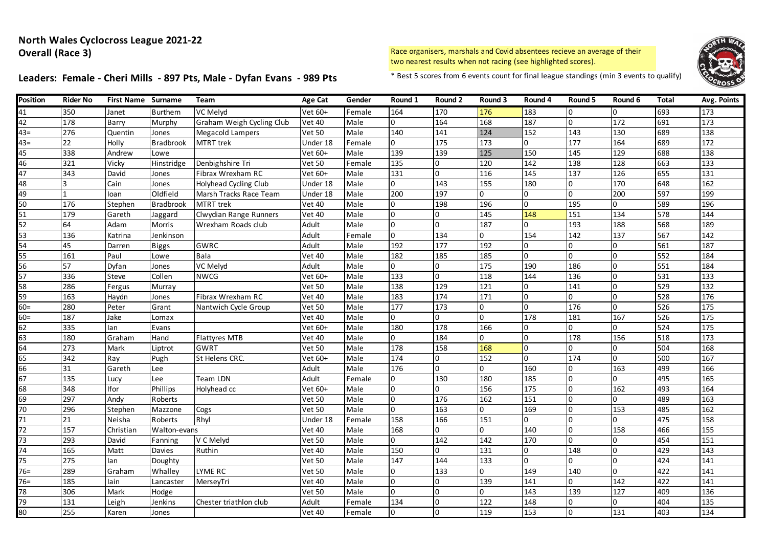# Leaders: Female - Cheri Mills - 897 Pts, Male - Dyfan Evans - 989 Pts \* Best 5 scores from 6 events count for final league standings (min 3 events to qualify)



| <b>Position</b> | Rider No        | <b>First Name Surname</b> |                  | Team                      | Age Cat       | Gender | Round 1          | Round 2          | Round 3      | Round 4        | Round 5  | Round 6        | <b>Total</b>     | <b>Avg. Points</b> |
|-----------------|-----------------|---------------------------|------------------|---------------------------|---------------|--------|------------------|------------------|--------------|----------------|----------|----------------|------------------|--------------------|
| 41              | 350             | Janet                     | <b>Burthem</b>   | VC Melyd                  | Vet 60+       | Female | 164              | 170              | 176          | 183            | 0        | $\overline{0}$ | 693              | 173                |
| $\overline{42}$ | 178             | <b>Barry</b>              | Murphy           | Graham Weigh Cycling Club | <b>Vet 40</b> | Male   | $\Omega$         | 164              | 168          | 187            | $\Omega$ | 172            | 691              | 173                |
| $43=$           | 276             | Quentin                   | Jones            | <b>Megacold Lampers</b>   | <b>Vet 50</b> | Male   | 140              | 141              | 124          | 152            | 143      | 130            | 689              | 138                |
| $43 =$          | $\overline{22}$ | Holly                     | <b>Bradbrook</b> | MTRT trek                 | Under 18      | Female | $\overline{0}$   | 175              | 173          | $\Omega$       | 177      | 164            | 689              | 172                |
| 45              | 338             | Andrew                    | Lowe             |                           | Vet 60+       | Male   | 139              | 139              | 125          | 150            | 145      | 129            | 688              | 138                |
| 46              | 321             | Vicky                     | Hinstridge       | Denbighshire Tri          | <b>Vet 50</b> | Female | 135              | 0                | 120          | 142            | 138      | 128            | 663              | 133                |
| 47              | 343             | David                     | Jones            | Fibrax Wrexham RC         | Vet 60+       | Male   | 131              | $\overline{0}$   | 116          | 145            | 137      | 126            | 655              | 131                |
| $\overline{48}$ | 3               | Cain                      | Jones            | Holyhead Cycling Club     | Under 18      | Male   | $\overline{0}$   | 143              | 155          | 180            | 0        | 170            | 648              | 162                |
| 49              | <b>11</b>       | loan                      | Oldfield         | Marsh Tracks Race Team    | Under 18      | Male   | 200              | 197              | $\Omega$     | <sup>0</sup>   | $\Omega$ | 200            | 597              | 199                |
| 50              | 176             | Stephen                   | <b>Bradbrook</b> | <b>MTRT</b> trek          | <b>Vet 40</b> | Male   | l0               | 198              | 196          | <sup>0</sup>   | 195      | $\Omega$       | 589              | 196                |
| 51              | 179             | Gareth                    | Jaggard          | Clwydian Range Runners    | <b>Vet 40</b> | Male   | l0               | O                | 145          | 148            | 151      | 134            | 578              | 144                |
| 52              | 64              | Adam                      | <b>Morris</b>    | Wrexham Roads club        | Adult         | Male   | 0                | $\overline{0}$   | 187          | 0              | 193      | 188            | 568              | 189                |
| 53              | 136             | Katrina                   | Jenkinson        |                           | Adult         | Female | $\overline{0}$   | 134              | 0            | 154            | 142      | 137            | 567              | 142                |
| 54              | 45              | Darren                    | <b>Biggs</b>     | <b>GWRC</b>               | Adult         | Male   | 192              | 177              | 192          | $\Omega$       | 0        | $\Omega$       | 561              | 187                |
| 55              | 161             | Paul                      | Lowe             | <b>Bala</b>               | <b>Vet 40</b> | Male   | 182              | 185              | 185          | $\Omega$       | 0        | $\Omega$       | 552              | 184                |
| 56              | 57              | Dyfan                     | Jones            | VC Melyd                  | Adult         | Male   | $\Omega$         | $\overline{0}$   | 175          | 190            | 186      | $\overline{0}$ | 551              | 184                |
| $\overline{57}$ | 336             | Steve                     | Collen           | <b>NWCG</b>               | Vet 60+       | Male   | $\frac{1}{3}$    | $\overline{0}$   | 118          | 144            | 136      | $\overline{0}$ | $\overline{531}$ | 133                |
| $\overline{58}$ | 286             | Fergus                    | Murray           |                           | <b>Vet 50</b> | Male   | 138              | 129              | 121          | $\Omega$       | 141      | $\Omega$       | 529              | 132                |
| $\overline{59}$ | 163             | Haydn                     | Jones            | Fibrax Wrexham RC         | <b>Vet 40</b> | Male   | 183              | 174              | 171          | $\Omega$       | 0        | $\Omega$       | 528              | 176                |
| $60 =$          | 280             | Peter                     | Grant            | Nantwich Cycle Group      | <b>Vet 50</b> | Male   | 177              | 173              | $\Omega$     | <sup>0</sup>   | 176      | $\Omega$       | 526              | 175                |
| $60 =$          | 187             | Jake                      | Lomax            |                           | <b>Vet 40</b> | Male   | 0                | 0                | $\Omega$     | 178            | 181      | 167            | 526              | 175                |
| 62              | 335             | lan                       | Evans            |                           | Vet 60+       | Male   | 180              | 178              | 166          | 0              | 0        | $\overline{0}$ | 524              | 175                |
| 63              | 180             | Graham                    | Hand             | Flattyres MTB             | <b>Vet 40</b> | Male   | 0                | 184              | 0            | $\overline{0}$ | 178      | 156            | 518              | 173                |
| 64              | 273             | Mark                      | Liptrot          | GWRT                      | <b>Vet 50</b> | Male   | $\overline{178}$ | 158              | 168          | $\Omega$       | 0        | $\Omega$       | 504              | 168                |
| 65              | 342             | Ray                       | Pugh             | St Helens CRC.            | Vet 60+       | Male   | 174              | $\overline{0}$   | 152          | $\Omega$       | 174      | $\Omega$       | 500              | 167                |
| 66              | 31              | Gareth                    | Lee              |                           | Adult         | Male   | 176              | $\overline{0}$   | $\Omega$     | 160            | $\Omega$ | 163            | 499              | 166                |
| 67              | 135             | Lucv                      | Lee              | Team LDN                  | Adult         | Female | <sup>0</sup>     | 130              | 180          | 185            | $\Omega$ | $\Omega$       | 495              | 165                |
| 68              | 348             | Ifor                      | Phillips         | Holyhead cc               | Vet 60+       | Male   | $\Omega$         | $\overline{0}$   | 156          | 175            | $\Omega$ | 162            | 493              | 164                |
| 69              | 297             | Andy                      | Roberts          |                           | <b>Vet 50</b> | Male   | <sup>0</sup>     | $\overline{176}$ | 162          | 151            | $\Omega$ | $\Omega$       | 489              | 163                |
| 70              | 296             | Stephen                   | Mazzone          | Cogs                      | <b>Vet 50</b> | Male   | l O              | 163              | $\Omega$     | 169            | $\Omega$ | 153            | 485              | 162                |
| 71              | 21              | Neisha                    | Roberts          | Rhyl                      | Under 18      | Female | 158              | 166              | 151          | <sup>0</sup>   | U        | $\Omega$       | 475              | 158                |
| 72              | 157             | Christian                 | Walton-evans     |                           | <b>Vet 40</b> | Male   | 168              | $\overline{0}$   | 0            | 140            | $\Omega$ | 158            | 466              | 155                |
| 73              | 293             | David                     | Fanning          | V C Melyd                 | <b>Vet 50</b> | Male   | $\Omega$         | 142              | 142          | 170            | $\Omega$ | 0              | 454              | 151                |
| 74              | 165             | Matt                      | Davies           | Ruthin                    | <b>Vet 40</b> | Male   | 150              | $\overline{0}$   | 131          | $\Omega$       | 148      | $\overline{0}$ | 429              | 143                |
| 75              | 275             | lan                       | Doughty          |                           | <b>Vet 50</b> | Male   | 147              | 144              | 133          | $\Omega$       | $\Omega$ | $\overline{0}$ | 424              | 141                |
| $76=$           | 289             | Graham                    | Whalley          | <b>LYME RC</b>            | <b>Vet 50</b> | Male   | <sup>0</sup>     | 133              | <sup>0</sup> | 149            | 140      | $\Omega$       | 422              | 141                |
| $76 =$          | 185             | lain                      | Lancaster        | MerseyTri                 | <b>Vet 40</b> | Male   | <sup>0</sup>     | $\overline{0}$   | 139          | 141            | $\Omega$ | 142            | 422              | 141                |
| 78              | 306             | Mark                      | Hodge            |                           | <b>Vet 50</b> | Male   | $\Omega$         | $\overline{0}$   | 0            | 143            | 139      | 127            | 409              | 136                |
| $\overline{79}$ | 131             | Leigh                     | Jenkins          | Chester triathlon club    | Adult         | Female | 134              | <sup>o</sup>     | 122          | 148            | $\Omega$ | $\Omega$       | 404              | 135                |
| 80              | 255             | Karen                     | Jones            |                           | <b>Vet 40</b> | Female |                  | $\overline{0}$   | 119          | 153            | $\Omega$ | 131            | 403              | 134                |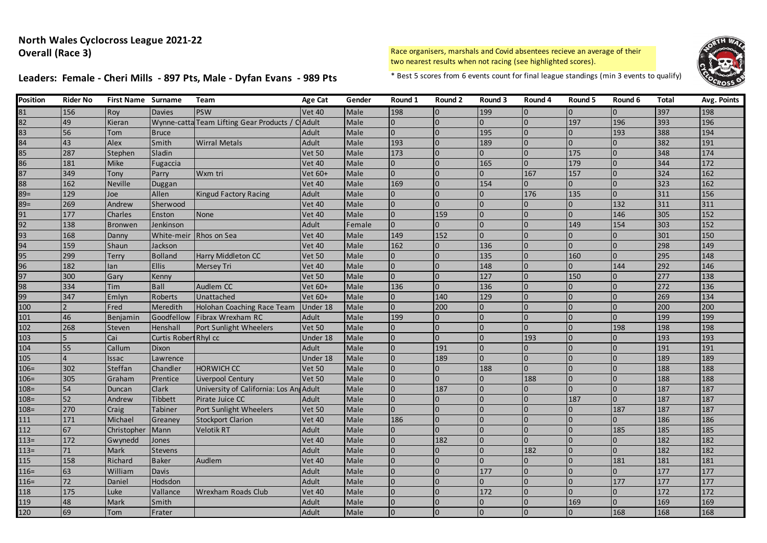# Leaders: Female - Cheri Mills - 897 Pts, Male - Dyfan Evans - 989 Pts \* Best 5 scores from 6 events count for final league standings (min 3 events to qualify)



| Position | <b>Rider No</b> | <b>First Name Surname</b> |                       | Team                                    | Age Cat       | Gender | Round 1        | Round 2        | Round 3        | Round 4        | Round 5        | Round 6  | <b>Total</b> | Avg. Points |
|----------|-----------------|---------------------------|-----------------------|-----------------------------------------|---------------|--------|----------------|----------------|----------------|----------------|----------------|----------|--------------|-------------|
| 81       | 156             | Roy                       | Davies                | <b>PSW</b>                              | <b>Vet 40</b> | Male   | 198            | l0             | 199            | $\overline{0}$ | $\overline{0}$ | $\Omega$ | 397          | 198         |
| 82       | 49              | Kieran                    | Wynne-catta           | Team Lifting Gear Products              | Adult         | Male   | $\overline{0}$ | l0             | $\Omega$       | $\overline{0}$ | 197            | 196      | 393          | 196         |
| 83       | 56              | Tom                       | <b>Bruce</b>          |                                         | Adult         | Male   | $\overline{0}$ | I0             | 195            | 0              | 10             | 193      | 388          | 194         |
| 84       | 43              | Alex                      | Smith                 | <b>Wirral Metals</b>                    | Adult         | Male   | 193            | $\Omega$       | 189            | $\overline{0}$ | $\overline{0}$ |          | 382          | 191         |
| 85       | 287             | Stephen                   | Sladin                |                                         | <b>Vet 50</b> | Male   | 173            | $\Omega$       | $\Omega$       | l <sub>0</sub> | 175            |          | 348          | 174         |
| 86       | 181             | <b>Mike</b>               | Fugaccia              |                                         | <b>Vet 40</b> | Male   | $\Omega$       | $\overline{0}$ | 165            | $\Omega$       | 179            |          | 344          | 172         |
| 87       | 349             | Tony                      | Parry                 | Wxm tri                                 | Vet 60+       | Male   | $\overline{0}$ | $\overline{0}$ | $\overline{0}$ | 167            | 157            |          | 324          | 162         |
| 88       | 162             | <b>Neville</b>            | Duggan                |                                         | <b>Vet 40</b> | Male   | 169            | l0             | 154            | $\overline{0}$ | $\overline{0}$ |          | 323          | 162         |
| $89=$    | 129             | Joe                       | Allen                 | <b>Kingud Factory Racing</b>            | Adult         | Male   | $\overline{0}$ | $\Omega$       | $\overline{0}$ | 176            | 135            |          | 311          | 156         |
| $89=$    | 269             | Andrew                    | Sherwood              |                                         | <b>Vet 40</b> | Male   | $\Omega$       | $\Omega$       | $\Omega$       | $\overline{0}$ | l <sub>0</sub> | 132      | 311          | 311         |
| 91       | 177             | Charles                   | Enston                | <b>None</b>                             | <b>Vet 40</b> | Male   | $\Omega$       | 159            | $\overline{0}$ | $\Omega$       | l <sub>0</sub> | 146      | 305          | 152         |
| 92       | 138             | <b>Bronwen</b>            | Jenkinson             |                                         | Adult         | Female | IO.            |                | $\overline{0}$ | $\overline{0}$ | 149            | 154      | 303          | 152         |
| 93       | 168             | Danny                     |                       | White-meir Rhos on Sea                  | <b>Vet 40</b> | Male   | 149            | 152            | $\Omega$       | $\Omega$       | $\Omega$       |          | 301          | 150         |
| 94       | 159             | Shaun                     | Jackson               |                                         | <b>Vet 40</b> | Male   | 162            | $\overline{0}$ | 136            | $\overline{0}$ | $\overline{0}$ |          | 298          | 149         |
| 95       | 299             | Terry                     | <b>Bolland</b>        | Harry Middleton CC                      | <b>Vet 50</b> | Male   | $\Omega$       |                | 135            | $\overline{0}$ | 160            |          | 295          | 148         |
| 96       | 182             | lan                       | <b>Ellis</b>          | Mersey Tri                              | <b>Vet 40</b> | Male   | $\overline{0}$ | $\overline{0}$ | 148            | $\overline{0}$ | $\overline{0}$ | 144      | 292          | 146         |
| 97       | 300             | Gary                      | Kenny                 |                                         | <b>Vet 50</b> | Male   | $\overline{0}$ | $\overline{0}$ | 127            | $\overline{0}$ | 150            |          | 277          | 138         |
| 98       | 334             | Tim                       | <b>Ball</b>           | Audlem CC                               | Vet 60+       | Male   | 136            | l0             | 136            | $\Omega$       | $\overline{0}$ |          | 272          | 136         |
| 99       | 347             | Emlyn                     | <b>Roberts</b>        | Unattached                              | Vet 60+       | Male   | $\overline{0}$ | 140            | 129            | $\overline{0}$ | $\overline{0}$ |          | 269          | 134         |
| 100      |                 | Fred                      | Meredith              | Holohan Coaching Race Team              | Under 18      | Male   | $\Omega$       | 200            | $\overline{0}$ | $\overline{0}$ | $\Omega$       |          | 200          | 200         |
| 101      | 46              | Benjamin                  | Goodfellow            | Fibrax Wrexham RC                       | Adult         | Male   | 199            | l0             | $\Omega$       | $\Omega$       | I <sub>0</sub> |          | 199          | 199         |
| 102      | 268             | Steven                    | Henshall              | Port Sunlight Wheelers                  | <b>Vet 50</b> | Male   | $\overline{0}$ | $\overline{0}$ | $\overline{0}$ | $\overline{0}$ |                | 198      | 198          | 198         |
| 103      | 5               | Cai                       | Curtis Robert Rhyl cc |                                         | Under 18      | Male   | I0             | $\overline{0}$ | $\Omega$       | 193            | $\Omega$       |          | 193          | 193         |
| 104      | 55              | Callum                    | Dixon                 |                                         | Adult         | Male   | $\Omega$       | 191            | $\Omega$       | $\Omega$       | $\Omega$       |          | 191          | 191         |
| 105      |                 | Issac                     | Lawrence              |                                         | Under 18      | Male   | $\overline{0}$ | 189            | $\Omega$       | $\overline{0}$ | 10             |          | 189          | 189         |
| $106 =$  | 302             | Steffan                   | Chandler              | <b>HORWICH CC</b>                       | <b>Vet 50</b> | Male   | $\overline{0}$ | $\overline{0}$ | 188            | $\Omega$       | l0             |          | 188          | 188         |
| $106 =$  | 305             | Graham                    | Prentice              | Liverpool Century                       | <b>Vet 50</b> | Male   | $\Omega$       | $\Omega$       | $\Omega$       | 188            | $\overline{0}$ |          | 188          | 188         |
| $108 =$  | 54              | Duncan                    | <b>Clark</b>          | University of California: Los And Adult |               | Male   | I <sub>0</sub> | 187            | $\Omega$       | $\overline{0}$ | $\overline{0}$ |          | 187          | 187         |
| $108 =$  | 52              | Andrew                    | <b>Tibbett</b>        | Pirate Juice CC                         | Adult         | Male   | $\Omega$       | $\overline{0}$ | $\Omega$       | $\Omega$       | 187            |          | 187          | 187         |
| $108 =$  | 270             | Craig                     | Tabiner               | Port Sunlight Wheelers                  | <b>Vet 50</b> | Male   | $\Omega$       | $\Omega$       |                | $\overline{0}$ | l0             | 187      | 187          | 187         |
| 111      | 171             | Michael                   | Greaney               | <b>Stockport Clarion</b>                | <b>Vet 40</b> | Male   | 186            | I0             | $\Omega$       | $\Omega$       | l0             |          | 186          | 186         |
| 112      | 67              | Christopher               | Mann                  | <b>Velotik RT</b>                       | <b>Adult</b>  | Male   | $\Omega$       | $\overline{0}$ | $\Omega$       | $\Omega$       | In             | 185      | 185          | 185         |
| $113=$   | 172             | Gwynedd                   | Jones                 |                                         | <b>Vet 40</b> | Male   | I0             | 182            | $\overline{0}$ | $\Omega$       | In             |          | 182          | 182         |
| $113=$   | 71              | Mark                      | <b>Stevens</b>        |                                         | Adult         | Male   | $\overline{0}$ | $\overline{0}$ | $\overline{0}$ | 182            | l0             |          | 182          | 182         |
| 115      | 158             | Richard                   | <b>Baker</b>          | Audlem                                  | <b>Vet 40</b> | Male   | $\overline{0}$ | $\overline{0}$ | $\Omega$       | $\overline{0}$ | l O            | 181      | 181          | 181         |
| $116=$   | 63              | William                   | Davis                 |                                         | Adult         | Male   | $\Omega$       | $\overline{0}$ | 177            | $\overline{0}$ | l O            |          | 177          | 177         |
| $116=$   | 72              | Daniel                    | Hodsdon               |                                         | Adult         | Male   | $\Omega$       | $\overline{0}$ | $\Omega$       | $\Omega$       | $\overline{0}$ | 177      | 177          | 177         |
| 118      | 175             | Luke                      | Vallance              | Wrexham Roads Club                      | <b>Vet 40</b> | Male   | $\Omega$       | $\overline{0}$ | 172            | $\overline{0}$ | $\overline{0}$ |          | 172          | 172         |
| 119      | 48              | Mark                      | Smith                 |                                         | Adult         | Male   | $\overline{0}$ | l0             | $\overline{0}$ | IO             | 169            |          | 169          | 169         |
| 120      | 69              | Tom                       | Frater                |                                         | Adult         | Male   |                |                | $\overline{0}$ | $\Omega$       | $\overline{0}$ | 168      | 168          | 168         |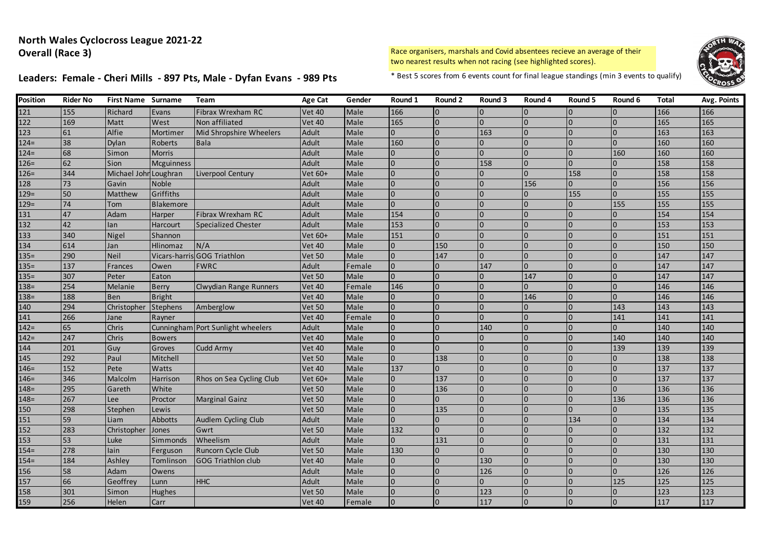# Leaders: Female - Cheri Mills - 897 Pts, Male - Dyfan Evans - 989 Pts \* Best 5 scores from 6 events count for final league standings (min 3 events to qualify)



| <b>Position</b> | Rider No | <b>First Name Surname</b> |                   | Team                              | <b>Age Cat</b> | Gender      | Round 1  | Round 2        | Round 3      | Round 4        | Round 5  | Round 6        | Total | Avg. Points |
|-----------------|----------|---------------------------|-------------------|-----------------------------------|----------------|-------------|----------|----------------|--------------|----------------|----------|----------------|-------|-------------|
| 121             | 155      | Richard                   | Evans             | Fibrax Wrexham RC                 | <b>Vet 40</b>  | Male        | 166      | $\overline{0}$ | <sup>0</sup> |                |          |                | 166   | 166         |
| 122             | 169      | Matt                      | West              | Non affiliated                    | <b>Vet 40</b>  | Male        | 165      | $\overline{0}$ | <sup>0</sup> | $\Omega$       |          |                | 165   | 165         |
| 123             | 61       | Alfie                     | Mortimer          | Mid Shropshire Wheelers           | Adult          | Male        | $\Omega$ | $\overline{0}$ | 163          | $\Omega$       | $\Omega$ | $\Omega$       | 163   | 163         |
| $124=$          | 38       | Dylan                     | Roberts           | <b>Bala</b>                       | Adult          | Male        | 160      | $\overline{0}$ | $\Omega$     | $\Omega$       | $\Omega$ | $\overline{0}$ | 160   | 160         |
| $124=$          | 68       | Simon                     | <b>Morris</b>     |                                   | Adult          | Male        |          |                | $\Omega$     |                |          | 160            | 160   | 160         |
| $126=$          | 62       | Sion                      | <b>Mcguinness</b> |                                   | Adult          | Male        |          | $\Omega$       | 158          | $\Omega$       |          | $\Omega$       | 158   | 158         |
| $126=$          | 344      | Michael Johr              | Loughran          | Liverpool Century                 | Vet 60+        | Male        |          |                | U            | $\Omega$       | 158      | $\overline{0}$ | 158   | 158         |
| 128             | 73       | Gavin                     | <b>Noble</b>      |                                   | Adult          | Male        |          |                |              | 156            |          |                | 156   | 156         |
| $129=$          | 50       | Matthew                   | Griffiths         |                                   | Adult          | Male        |          | $\overline{0}$ | $\Omega$     | $\overline{0}$ | 155      |                | 155   | 155         |
| $129=$          | 74       | Tom                       | <b>Blakemore</b>  |                                   | Adult          | Male        | $\Omega$ | $\overline{0}$ | <sup>0</sup> | $\overline{0}$ | $\Omega$ | 155            | 155   | 155         |
| 131             | 47       | Adam                      | Harper            | Fibrax Wrexham RC                 | Adult          | Male        | 154      | $\Omega$       | $\Omega$     | $\Omega$       |          |                | 154   | 154         |
| 132             | 42       | lan                       | Harcourt          | <b>Specialized Chester</b>        | Adult          | Male        | 153      |                | <sup>0</sup> | $\Omega$       |          |                | 153   | 153         |
| 133             | 340      | Nigel                     | Shannon           |                                   | Vet 60+        | Male        | 151      | $\Omega$       | $\Omega$     | $\Omega$       |          | $\Omega$       | 151   | 151         |
| 134             | 614      | Jan                       | Hlinomaz          | N/A                               | <b>Vet 40</b>  | Male        |          | 150            | $\Omega$     |                |          | $\Omega$       | 150   | 150         |
| $135 =$         | 290      | <b>Neil</b>               | Vicars-harris     | <b>GOG Triathlon</b>              | <b>Vet 50</b>  | Male        |          | 147            | $\Omega$     | $\Omega$       |          |                | 147   | 147         |
| $135=$          | 137      | Frances                   | Owen              | <b>FWRC</b>                       | Adult          | Female      |          | $\overline{0}$ | 147          | $\Omega$       | $\Omega$ | $\Omega$       | 147   | 147         |
| $135 =$         | 307      | Peter                     | Eaton             |                                   | <b>Vet 50</b>  | Male        |          | $\Omega$       | $\Omega$     | 147            | $\Omega$ | $\overline{0}$ | 147   | 147         |
| $138 =$         | 254      | Melanie                   | <b>Berry</b>      | <b>Clwydian Range Runners</b>     | <b>Vet 40</b>  | Female      | 146      | $\Omega$       | $\Omega$     |                |          |                | 146   | 146         |
| $138 =$         | 188      | <b>Ben</b>                | Bright            |                                   | <b>Vet 40</b>  | Male        |          | $\Omega$       | $\Omega$     | 146            | $\Omega$ | $\Omega$       | 146   | 146         |
| 140             | 294      | Christopher               | Stephens          | Amberglow                         | <b>Vet 50</b>  | Male        |          | $\Omega$       | U            |                |          | 143            | 143   | 143         |
| 141             | 266      | Jane                      | Rayner            |                                   | <b>Vet 40</b>  | Female      |          | $\Omega$       |              |                |          | 141            | 141   | 141         |
| $142 =$         | 65       | Chris                     |                   | Cunningham Port Sunlight wheelers | Adult          | Male        |          |                | 140          | $\Omega$       |          |                | 140   | 140         |
| $142 =$         | 247      | Chris                     | <b>Bowers</b>     |                                   | <b>Vet 40</b>  | Male        |          | $\Omega$       | U            | $\Omega$       | $\Omega$ | 140            | 140   | 140         |
| 144             | 201      | Guy                       | Groves            | Cudd Army                         | <b>Vet 40</b>  | Male        |          | $\Omega$       | $\Omega$     | $\Omega$       |          | 139            | 139   | 139         |
| 145             | 292      | Paul                      | Mitchell          |                                   | <b>Vet 50</b>  | Male        |          | 138            | $\Omega$     | $\Omega$       |          |                | 138   | 138         |
| $146=$          | 152      | Pete                      | <b>Watts</b>      |                                   | <b>Vet 40</b>  | Male        | 137      | $\Omega$       | $\Omega$     | $\Omega$       |          | $\Omega$       | 137   | 137         |
| $146=$          | 346      | Malcolm                   | Harrison          | Rhos on Sea Cycling Club          | Vet 60+        | Male        |          | 137            | $\Omega$     |                |          | $\overline{0}$ | 137   | 137         |
| $148=$          | 295      | Gareth                    | White             |                                   | <b>Vet 50</b>  | Male        |          | 136            | <sup>0</sup> |                |          |                | 136   | 136         |
| $148 =$         | 267      | Lee                       | Proctor           | <b>Marginal Gainz</b>             | <b>Vet 50</b>  | <b>Male</b> |          | $\Omega$       | $\Omega$     | In             | $\Omega$ | 136            | 136   | 136         |
| 150             | 298      | Stephen                   | Lewis             |                                   | <b>Vet 50</b>  | Male        | $\Omega$ | 135            | $\Omega$     | 0              | $\Omega$ | $\overline{0}$ | 135   | 135         |
| 151             | 59       | Liam                      | <b>Abbotts</b>    | Audlem Cycling Club               | Adult          | <b>Male</b> |          | $\Omega$       | $\Omega$     | $\overline{0}$ | 134      | $\overline{0}$ | 134   | 134         |
| 152             | 283      | Christopher               | Jones             | Gwrt                              | <b>Vet 50</b>  | Male        | 132      | $\Omega$       | $\Omega$     | $\Omega$       |          |                | 132   | 132         |
| 153             | 53       | Luke                      | Simmonds          | Wheelism                          | Adult          | Male        | $\Omega$ | 131            | $\Omega$     | $\Omega$       |          |                | 131   | 131         |
| $154 =$         | 278      | lain                      | Ferguson          | Runcorn Cycle Club                | <b>Vet 50</b>  | Male        | 130      | $\Omega$       | $\Omega$     |                |          | $\Omega$       | 130   | 130         |
| $154 =$         | 184      | Ashley                    | Tomlinson         | <b>GOG Triathlon club</b>         | <b>Vet 40</b>  | Male        |          |                | 130          | $\Omega$       |          |                | 130   | 130         |
| 156             | 58       | Adam                      | Owens             |                                   | Adult          | <b>Male</b> |          | $\Omega$       | 126          | $\Omega$       | $\Omega$ | $\Omega$       | 126   | 126         |
| 157             | 66       | Geoffrey                  | Lunn              | <b>HHC</b>                        | Adult          | Male        |          | $\Omega$       | $\Omega$     | $\Omega$       |          | 125            | 125   | 125         |
| 158             | 301      | Simon                     | <b>Hughes</b>     |                                   | <b>Vet 50</b>  | Male        |          | $\Omega$       | 123          |                |          |                | 123   | 123         |
| 159             | 256      | Helen                     | Carr              |                                   | <b>Vet 40</b>  | Female      |          | $\overline{0}$ | 117          | In             |          | $\overline{0}$ | 117   | 117         |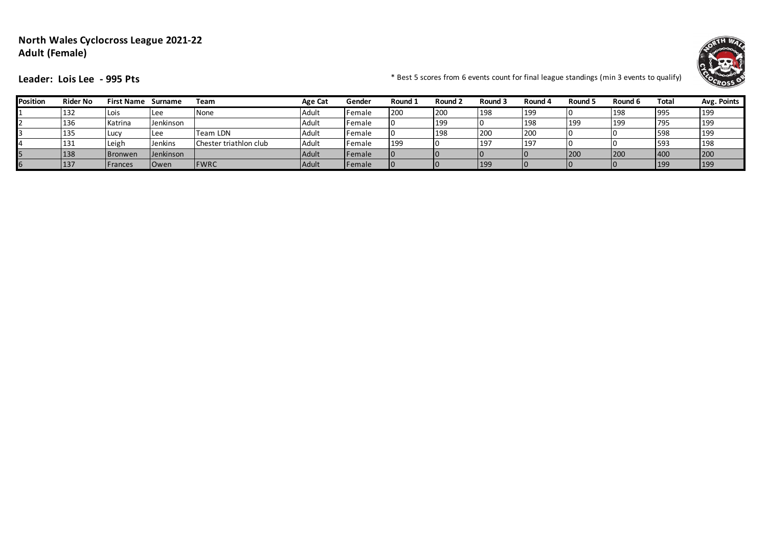#### **North Wales Cyclocross League 2021-22 Adult (Female)**



**Leader:** Lois Lee - 995 Pts **Fig. 2016** The standing of the set 5 scores from 6 events count for final league standings (min 3 events to qualify)

| Position | <b>Rider No</b> | <b>First Name</b> | Surname        | Team                   | <b>Age Cat</b> | Gender         | Round 1 | Round 2 | Round 3    | Round 4    | Round 5 | Round 6 | Total           | Avg. Points |
|----------|-----------------|-------------------|----------------|------------------------|----------------|----------------|---------|---------|------------|------------|---------|---------|-----------------|-------------|
|          | 132             | Lois              | ILee           | None                   | Adult          | Female         | 200     | 200     | 198        | <b>199</b> |         | 198     | 995             | 199         |
|          | 136             | Katrina           | Jenkinson      |                        | Adult          | Female         |         | 199     |            | 198        | 199     | 199     | 1795            | 199         |
|          | 135             | -ucv              | ILee           | Team LDN               | Adult          | <b>IFemale</b> |         | 198     | <b>200</b> | 200        |         |         | 598             | 199         |
|          | 131             | Leigh             | <b>Jenkins</b> | Chester triathlon club | Adult          | <b>IFemale</b> | 199     | 10      | 197        | <b>19</b>  |         |         | 593             | 198         |
|          | 138             | <b>Bronwen</b>    | Jenkinson      |                        | Adult          | Female         |         |         |            |            | 200     | 200     | 40 <sub>C</sub> | 200         |
|          | 137             | Frances           | <b>Owen</b>    | <b>FWRC</b>            | Adult          | Female         |         |         | 199        | IО         |         |         | 199             | 199         |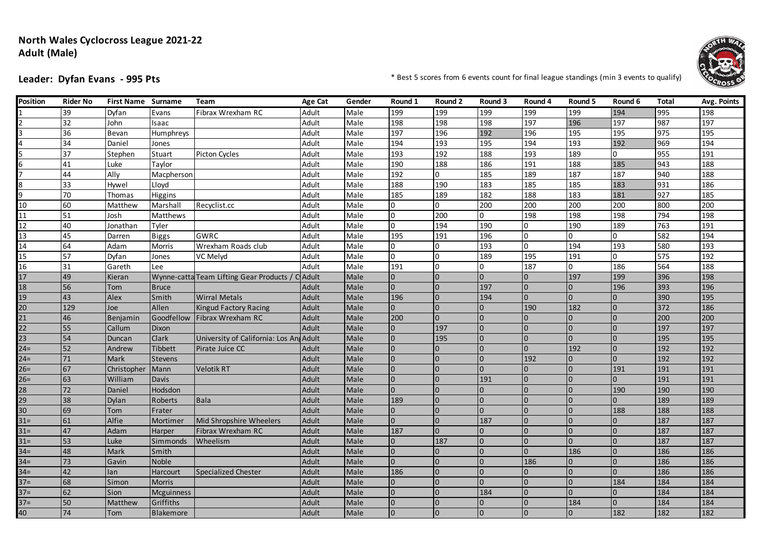#### **North Wales Cyclocross League 2021-22 Adult (Male)**



**Leader: Dyfan Evans - 995 Pts**  $\bullet$  **Leader: Dyfan Evans - 995 Pts**  $\bullet$  **Example 10 and 10 and 10 and 10 and 10 and 10 and 10 and 10 and 10 and 10 and 10 and 10 and 10 and 10 and 10 and 10 and 10 and 10 and 10 and 10 and** 

| <b>Position</b> | <b>Rider No</b> | <b>First Name Surname</b> |                | Team                                   | Age Cat | Gender | Round 1        | Round 2        | Round 3          | Round 4        | Round 5        | Round 6        | <b>Total</b> | <b>Avg. Points</b> |
|-----------------|-----------------|---------------------------|----------------|----------------------------------------|---------|--------|----------------|----------------|------------------|----------------|----------------|----------------|--------------|--------------------|
|                 | 39              | Dyfan                     | Evans          | Fibrax Wrexham RC                      | Adult   | Male   | 199            | 199            | 199              | 199            | 199            | 194            | 995          | 198                |
|                 | $\overline{32}$ | John                      | Isaac          |                                        | Adult   | Male   | 198            | 198            | 198              | 197            | 196            | 197            | 987          | 197                |
|                 | $\overline{36}$ | Bevan                     | Humphreys      |                                        | Adult   | Male   | 197            | 196            | 192              | 196            | 195            | 195            | 975          | 195                |
|                 | 34              | Daniel                    | Jones          |                                        | Adult   | Male   | 194            | 193            | 195              | 194            | 193            | 192            | 969          | 194                |
|                 | 37              | Stephen                   | Stuart         | Picton Cycles                          | Adult   | Male   | 193            | 192            | 188              | 193            | 189            | $\overline{0}$ | 955          | 191                |
|                 | 41              | Luke                      | Taylor         |                                        | Adult   | Male   | 190            | 188            | 186              | 191            | 188            | 185            | 943          | 188                |
|                 | 44              | Ally                      | Macpherson     |                                        | Adult   | Male   | 192            | $\overline{0}$ | 185              | 189            | 187            | 187            | 940          | 188                |
|                 | 33              | Hywel                     | Lloyd          |                                        | Adult   | Male   | 188            | 190            | $\overline{183}$ | 185            | 185            | 183            | 931          | 186                |
|                 | 70              | Thomas                    | Higgins        |                                        | Adult   | Male   | 185            | 189            | $\overline{182}$ | 188            | 183            | 181            | 927          | 185                |
| 10              | 60              | Matthew                   | Marshall       | Recyclist.cc                           | Adult   | Male   | $\Omega$       | $\Omega$       | 200              | 200            | 200            | 200            | 800          | 200                |
| 11              | 51              | Josh                      | Matthews       |                                        | Adult   | Male   | O              | 200            | $\overline{0}$   | 198            | 198            | 198            | 794          | 198                |
| 12              | 40              | Jonathan                  | Tyler          |                                        | Adult   | Male   | $\overline{0}$ | 194            | 190              | $\overline{0}$ | 190            | 189            | 763          | 191                |
| 13              | 45              | Darren                    | <b>Biggs</b>   | GWRC                                   | Adult   | Male   | 195            | 191            | 196              | 0              | 0              | 0              | 582          | 194                |
| 14              | 64              | Adam                      | Morris         | Wrexham Roads club                     | Adult   | Male   | $\Omega$       | $\Omega$       | 193              | $\overline{0}$ | 194            | 193            | 580          | 193                |
| 15              | 57              | Dyfan                     | Jones          | VC Melyd                               | Adult   | Male   | $\Omega$       | $\Omega$       | 189              | 195            | 191            | $\overline{0}$ | 575          | 192                |
| 16              | 31              | Gareth                    | Lee            |                                        | Adult   | Male   | 191            | O              | $\overline{0}$   | 187            | 0              | 186            | 564          | 188                |
| 17              | 49              | Kieran                    |                | Wynne-catta Team Lifting Gear Products | Adult   | Male   | $\overline{0}$ | $\overline{0}$ | $\overline{0}$   | $\overline{0}$ | 197            | 199            | 396          | 198                |
| 18              | 56              | Tom                       | <b>Bruce</b>   |                                        | Adult   | Male   | $\overline{0}$ | $\Omega$       | 197              | $\overline{0}$ | $\mathbf{0}$   | 196            | 393          | 196                |
| 19              | 43              | Alex                      | Smith          | <b>Wirral Metals</b>                   | Adult   | Male   | 196            | $\Omega$       | 194              | $\Omega$       | $\Omega$       | $\overline{0}$ | 390          | 195                |
| 20              | 129             | Joe                       | Allen          | <b>Kingud Factory Racing</b>           | Adult   | Male   | $\overline{0}$ | $\Omega$       | $\Omega$         | 190            | 182            | $\Omega$       | 372          | 186                |
| 21              | 46              | Benjamin                  | Goodfellow     | Fibrax Wrexham RC                      | Adult   | Male   | 200            | $\overline{0}$ | In               | $\mathbf{0}$   | $\Omega$       | $\overline{0}$ | 200          | 200                |
| 22              | 55              | Callum                    | Dixon          |                                        | Adult   | Male   | $\overline{0}$ | 197            | I0               | $\overline{0}$ | $\overline{0}$ | $\overline{0}$ | 197          | 197                |
| 23              | 54              | Duncan                    | <b>Clark</b>   | University of California: Los Ang      | Adult   | Male   | $\overline{0}$ | 195            | $\Omega$         | $\overline{0}$ | $\Omega$       | $\Omega$       | 195          | 195                |
| $24 =$          | 52              | Andrew                    | <b>Tibbett</b> | Pirate Juice CC                        | Adult   | Male   | $\overline{0}$ | $\Omega$       |                  | $\Omega$       | 192            | $\overline{0}$ | 192          | 192                |
| $24 =$          | 71              | Mark                      | <b>Stevens</b> |                                        | Adult   | Male   | $\Omega$       | $\Omega$       |                  | 192            | $\Omega$       | $\Omega$       | 192          | 192                |
| $26=$           | 67              | Christopher               | Mann           | <b>Velotik RT</b>                      | Adult   | Male   | $\overline{0}$ |                |                  | $\Omega$       |                | 191            | 191          | 191                |
| $26=$           | 63              | William                   | Davis          |                                        | Adult   | Male   | $\overline{0}$ | $\Omega$       | 191              | $\overline{0}$ | $\Omega$       | $\Omega$       | 191          | 191                |
| 28              | 72              | Daniel                    | Hodsdon        |                                        | Adult   | Male   | $\Omega$       | $\Omega$       | $\Omega$         | $\Omega$       | $\Omega$       | 190            | 190          | 190                |
| 29              | 38              | Dylan                     | Roberts        | <b>Bala</b>                            | Adult   | Male   | 189            | $\overline{0}$ |                  | $\Omega$       |                | $\Omega$       | 189          | 189                |
| 30              | 69              | Tom                       | Frater         |                                        | Adult   | Male   | $\overline{0}$ | $\Omega$       | In               | $\Omega$       | $\Omega$       | 188            | 188          | 188                |
| $31 =$          | 61              | Alfie                     | Mortimer       | Mid Shropshire Wheelers                | Adult   | Male   | $\overline{0}$ | $\Omega$       | 187              | $\overline{0}$ | U              | $\overline{0}$ | 187          | 187                |
| $31 =$          | 47              | Adam                      | Harper         | Fibrax Wrexham RC                      | Adult   | Male   | 187            | $\overline{0}$ |                  | $\overline{0}$ | $\Omega$       | l <sub>0</sub> | 187          | 187                |
| $31 =$          | 53              | Luke                      | Simmonds       | Wheelism                               | Adult   | Male   | $\overline{0}$ | 187            | IO               | $\overline{0}$ | $\Omega$       | $\Omega$       | 187          | 187                |
| $34 =$          | 48              | Mark                      | Smith          |                                        | Adult   | Male   | $\overline{0}$ | $\overline{0}$ |                  | $\Omega$       | 186            | $\overline{0}$ | 186          | 186                |
| $34 =$          | 73              | Gavin                     | Noble          |                                        | Adult   | Male   | $\overline{0}$ |                | $\Omega$         | 186            | $\Omega$       | $\Omega$       | 186          | 186                |
| $34 =$          | 42              | lan                       | Harcourt       | <b>Specialized Chester</b>             | Adult   | Male   | 186            | $\Omega$       | In               | $\mathbf{0}$   | $\Omega$       | $\Omega$       | 186          | 186                |
| $37=$           | 68              | Simon                     | <b>Morris</b>  |                                        | Adult   | Male   | $\overline{0}$ | $\Omega$       |                  | $\Omega$       | $\Omega$       | 184            | 184          | 184                |
| $37 =$          | 62              | Sion                      | Mcguinness     |                                        | Adult   | Male   | $\overline{0}$ |                | 184              | $\Omega$       | $\Omega$       | $\overline{0}$ | 184          | 184                |
| $37 =$          | 50              | Matthew                   | Griffiths      |                                        | Adult   | Male   | $\Omega$       | $\overline{0}$ |                  | $\Omega$       | 184            | $\Omega$       | 184          | 184                |
| 40              | 74              | Tom                       | Blakemore      |                                        | Adult   | Male   | $\overline{0}$ |                | $\overline{0}$   | $\Omega$       | $\Omega$       | 182            | 182          | 182                |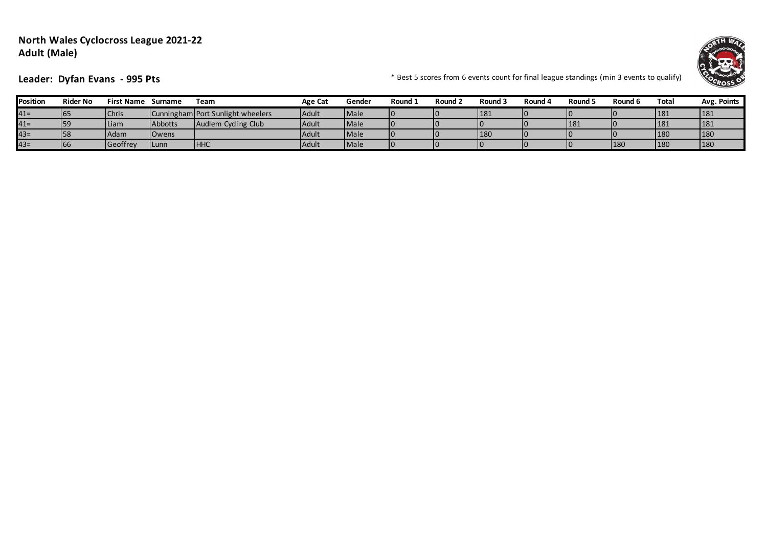#### **North Wales Cyclocross League 2021-22 Adult (Male)**



**Leader: Dyfan Evans - 995 Pts**  $\bullet$  **Leader: Dyfan Evans - 995 Pts**  $\bullet$  **Example 10 and 10 and 10 and 10 and 10 and 10 and 10 and 10 and 10 and 10 and 10 and 10 and 10 and 10 and 10 and 10 and 10 and 10 and 10 and 10 and** 

| Position | <b>Rider No</b> | <b>First Name</b> | Surname        | Team                              | Age Cat | Gender      | Round : | ے Round | Round 3    | Round 4 | Round ! | Round 6 | Total | Avg. Points |
|----------|-----------------|-------------------|----------------|-----------------------------------|---------|-------------|---------|---------|------------|---------|---------|---------|-------|-------------|
| $41 =$   | ¶b.             | Chris             |                | Cunningham Port Sunlight wheelers | Adult   | <b>Male</b> |         |         | 181        |         |         |         | 181   | 181         |
| $41 =$   |                 | Liam              | Abbotts        | Audlem Cycling Club               | Adult   | <b>Male</b> |         |         |            |         | 181     |         | 181   | 181         |
| $43=$    |                 | Adam              | <b>I</b> Owens |                                   | Adult   | <b>Male</b> |         |         | <b>180</b> |         |         |         | 180   | 180         |
| $43=$    | 100             | Geoffrey          | <b>ILunn</b>   | <b>HHC</b>                        | Adult   | <b>Male</b> |         |         |            |         |         | 180     | 180   | 180         |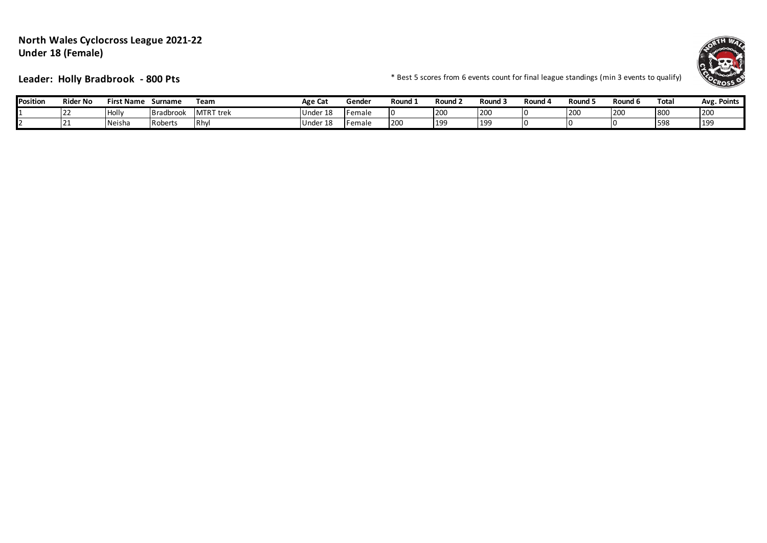#### **North Wales Cyclocross League 2021-22 Under 18 (Female)**



**Leader: Holly Bradbrook - 800 Pts** \* 800 THS \* Best 5 scores from 6 events count for final league standings (min 3 events to qualify)

| <b>Position</b> | <b>Rider No</b> | First Name     | Surname   | Team             | Age Cat       | Gende          | Round : | Round 2     | . -<br>Round <sub>3</sub> | ، Round | .<br>Round,    | Round 6 | Total | <b>Points</b><br>Avg. |
|-----------------|-----------------|----------------|-----------|------------------|---------------|----------------|---------|-------------|---------------------------|---------|----------------|---------|-------|-----------------------|
|                 | .               | <b>I</b> Holly | Bradbrook | <b>MTRT</b> trek | r 18<br>Under | <b>IFemale</b> |         | <b>1200</b> | 200                       |         | ו∩ר ا<br>I ZUW | 200     | uv.   | 1200                  |
|                 | <u>_</u>        | Neisha         | Roberts   | IRhv.            | r 18<br>Under | Female         | 200     | l 1 QC<br>. | 19 <sup>c</sup>           |         | ı٥             |         | 598   | .                     |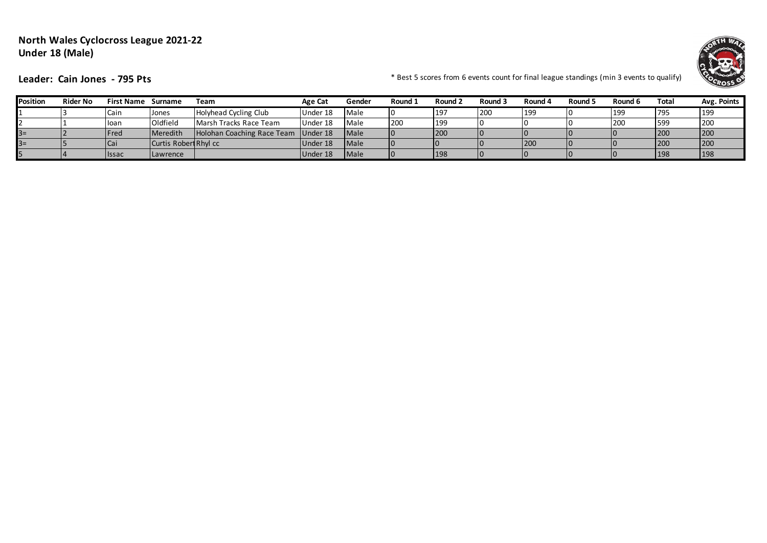## **North Wales Cyclocross League 2021-22 Under 18 (Male)**



**Leader: Cain Jones - 795 Pts**  $\blacksquare$  **Leader: Cain Jones - 795 Pts**  $\blacksquare$ 

| Position | <b>Rider No</b> | <b>First Name</b> | Surname               | Team                                | Age Cat  | Gender        | Round 1 | Round 2 | Round 3 | Round 4 | Round 5 | Round 6    | Total | Avg. Points |
|----------|-----------------|-------------------|-----------------------|-------------------------------------|----------|---------------|---------|---------|---------|---------|---------|------------|-------|-------------|
|          |                 | Cain              | Jones                 | Holyhead Cycling Club               | Under 18 | Male          |         | 197     | 200     | 199     | I٥      | <b>199</b> | 795   | 199         |
|          |                 | <b>loan</b>       | Oldfield              | Marsh Tracks Race Team              | Under 18 | <b>Male</b>   | 200     | 199     |         |         |         | 200        | 599   | 1200        |
| $3 =$    |                 | Fred              | <b>Meredith</b>       | Holohan Coaching Race Team Under 18 |          | <b>I</b> Male |         | 1200    |         |         |         |            | 200   | 200         |
| $3 =$    |                 | Cai               | Curtis Robert Rhyl cc |                                     | Under 18 | <b>Male</b>   |         |         |         | 200     |         |            | 200   | 200         |
|          |                 | <b>Issac</b>      | <b>Lawrence</b>       |                                     | Under 18 | <b>Male</b>   |         | 198     |         |         |         |            | 198   | 198         |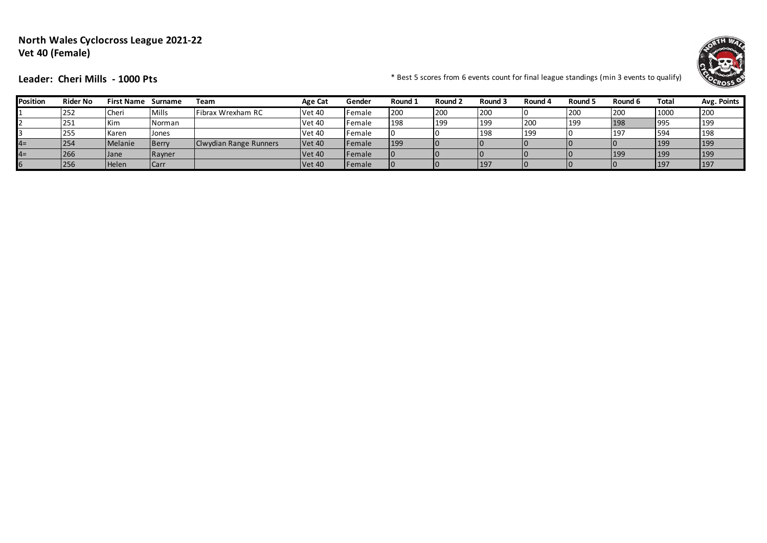## **North Wales Cyclocross League 2021-22 Vet 40 (Female)**



**Leader: Cheri Mills - 1000 Pts**  $\bullet$  **Leader: Cheri Mills - 1000 Pts** 

| Position | <b>Rider No</b> | First Name  | Surname      | Team                   | Age Cat       | Gender         | Round 2    | Round 2 | Round 3 | Round 4 | Round 5 | Round 6 | Total | Avg. Points |
|----------|-----------------|-------------|--------------|------------------------|---------------|----------------|------------|---------|---------|---------|---------|---------|-------|-------------|
|          | 252             | Cheri       | <b>Mills</b> | Fibrax Wrexham RC      | <b>Vet 40</b> | <b>IFemale</b> | 200        | 200     | 200     |         | 200     | 200     | 1000  | 200         |
|          | 1251            | Kim         | Norman       |                        | <b>Vet 40</b> | <b>IFemale</b> | 198        | 199     | 199     | 200     | 199     | 198     | 1995  | 199         |
|          | 255             | Karen       | Jones        |                        | <b>Vet 40</b> | <b>IFemale</b> |            |         | 198     | 199     |         | 197     | 1594  | 198         |
| $4=$     | 254             | Melanie     | <b>Berry</b> | Clwydian Range Runners | <b>Vet 40</b> | <b>IFemale</b> | <b>199</b> |         |         |         |         |         | 199   | 199         |
| $4=$     | 266             | <b>Jane</b> | Rayner       |                        | <b>Vet 40</b> | Female         |            |         |         |         |         | 199     | 199   | 199         |
|          | 256             | Helen       | <b>Carr</b>  |                        | <b>Vet 40</b> | <b>Female</b>  |            |         | 197     | 10      |         |         | 197   | 197         |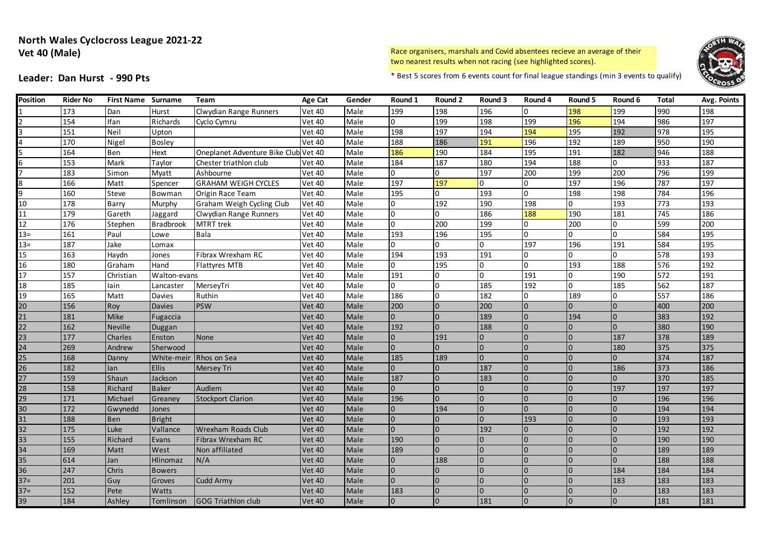#### **North Wales Cyclocross League 2021-22 Vet 40 (Male)**

Race organisers, marshals and Covid absentees recieve an average of their two nearest results when not racing (see highlighted scores).



**Leader: Dan Hurst - 990 Pts** \* Best 5 scores from 6 events count for final league standings (min 3 events to qualify)

| Position | <b>Rider No</b> | First Name Surname |                  | Team                                 | Age Cat       | Gender | Round 1        | Round 2        | Round 3        | Round 4        | Round 5        | Round 6        | Total | Avg. Points |
|----------|-----------------|--------------------|------------------|--------------------------------------|---------------|--------|----------------|----------------|----------------|----------------|----------------|----------------|-------|-------------|
|          | 173             | Dan                | Hurst            | Clwydian Range Runners               | <b>Vet 40</b> | Male   | 199            | 198            | 196            | 0              | 198            | 199            | 990   | 198         |
|          | 154             | Ifan               | Richards         | Cyclo Cymru                          | <b>Vet 40</b> | Male   | 0              | 199            | 198            | 199            | 196            | 194            | 986   | 197         |
|          | 151             | Neil               | Upton            |                                      | <b>Vet 40</b> | Male   | 198            | 197            | 194            | 194            | 195            | 192            | 978   | 195         |
|          | 170             | Nigel              | <b>Bosley</b>    |                                      | <b>Vet 40</b> | Male   | 188            | 186            | 191            | 196            | 192            | 189            | 950   | 190         |
|          | 164             | Ben                | Hext             | Oneplanet Adventure Bike Club Vet 40 |               | Male   | 186            | 190            | 184            | 195            | 191            | 182            | 946   | 188         |
|          | 153             | Mark               | Taylor           | Chester triathlon club               | <b>Vet 40</b> | Male   | 184            | 187            | 180            | 194            | 188            | 0              | 933   | 187         |
|          | 183             | Simon              | Myatt            | Ashbourne                            | <b>Vet 40</b> | Male   | 0              | 0              | 197            | 200            | 199            | 200            | 796   | 199         |
|          | 166             | Matt               | Spencer          | <b>GRAHAM WEIGH CYCLES</b>           | <b>Vet 40</b> | Male   | 197            | 197            | 0              | $\overline{0}$ | 197            | 196            | 787   | 197         |
|          | 160             | Steve              | Bowman           | Origin Race Team                     | <b>Vet 40</b> | Male   | 195            | 0              | 193            | 0              | 198            | 198            | 784   | 196         |
| 10       | 178             | <b>Barry</b>       | Murphy           | Graham Weigh Cycling Club            | <b>Vet 40</b> | Male   | 0              | 192            | 190            | 198            | 0              | 193            | 773   | 193         |
| 11       | 179             | Gareth             | Jaggard          | Clwydian Range Runners               | <b>Vet 40</b> | Male   | O              | 0              | 186            | 188            | 190            | 181            | 745   | 186         |
| 12       | 176             | Stephen            | <b>Bradbrook</b> | MTRT trek                            | <b>Vet 40</b> | Male   | $\Omega$       | 200            | 199            | 0              | 200            | 0              | 599   | 200         |
| $13 =$   | 161             | Paul               | Lowe             | Bala                                 | <b>Vet 40</b> | Male   | 193            | 196            | 195            | $\Omega$       | 0              | 0              | 584   | 195         |
| $13 =$   | 187             | Jake               | Lomax            |                                      | <b>Vet 40</b> | Male   | 0              | 0              | 0              | 197            | 196            | 191            | 584   | 195         |
| 15       | 163             | Haydn              | Jones            | Fibrax Wrexham RC                    | <b>Vet 40</b> | Male   | 194            | 193            | 191            | 0              | $\overline{0}$ | 0              | 578   | 193         |
| 16       | 180             | Graham             | Hand             | <b>Flattyres MTB</b>                 | <b>Vet 40</b> | Male   | 0              | 195            | 0              | $\overline{0}$ | 193            | 188            | 576   | 192         |
| 17       | 157             | Christian          | Walton-evans     |                                      | <b>Vet 40</b> | Male   | 191            | $\overline{0}$ | $\overline{0}$ | 191            | $\overline{0}$ | 190            | 572   | 191         |
| 18       | 185             | lain               | Lancaster        | MerseyTri                            | <b>Vet 40</b> | Male   | 0              | 0              | 185            | 192            | <sup>0</sup>   | 185            | 562   | 187         |
| 19       | 165             | Matt               | <b>Davies</b>    | Ruthin                               | <b>Vet 40</b> | Male   | 186            | <sup>o</sup>   | 182            | <sup>0</sup>   | 189            | $\Omega$       | 557   | 186         |
| 20       | 156             | Roy                | <b>Davies</b>    | <b>PSW</b>                           | <b>Vet 40</b> | Male   | 200            | $\overline{0}$ | 200            | $\Omega$       | $\overline{0}$ | $\Omega$       | 400   | 200         |
| 21       | 181             | Mike               | Fugaccia         |                                      | <b>Vet 40</b> | Male   | $\overline{0}$ | $\overline{0}$ | 189            | $\overline{0}$ | 194            | $\overline{0}$ | 383   | 192         |
| 22       | 162             | <b>Neville</b>     | Duggan           |                                      | <b>Vet 40</b> | Male   | 192            | $\overline{0}$ | 188            | l0             | $\overline{0}$ | $\Omega$       | 380   | 190         |
| 23       | 177             | Charles            | Enston           | None                                 | <b>Vet 40</b> | Male   | $\overline{0}$ | 191            | $\overline{0}$ | $\Omega$       | $\overline{0}$ | 187            | 378   | 189         |
| 24       | 269             | Andrew             | Sherwood         |                                      | <b>Vet 40</b> | Male   | $\Omega$       | $\overline{0}$ | $\overline{0}$ | $\overline{0}$ | $\overline{0}$ | 180            | 375   | 375         |
| 25       | 168             | Danny              | White-meir       | Rhos on Sea                          | <b>Vet 40</b> | Male   | 185            | 189            | $\overline{0}$ | $\overline{0}$ | $\Omega$       |                | 374   | 187         |
| 26       | 182             | lan                | <b>Ellis</b>     | <b>Mersey Tri</b>                    | <b>Vet 40</b> | Male   | $\Omega$       | $\overline{0}$ | 187            | $\Omega$       | $\Omega$       | 186            | 373   | 186         |
| 27       | 159             | Shaun              | Jackson          |                                      | <b>Vet 40</b> | Male   | 187            | $\overline{0}$ | 183            | $\Omega$       | $\Omega$       | $\Omega$       | 370   | 185         |
| 28       | 158             | Richard            | <b>Baker</b>     | Audlem                               | <b>Vet 40</b> | Male   | $\Omega$       | $\overline{0}$ | $\Omega$       | $\Omega$       | $\Omega$       | 197            | 197   | 197         |
| 29       | 171             | Michael            | Greanev          | <b>Stockport Clarion</b>             | <b>Vet 40</b> | Male   | 196            | $\overline{0}$ | $\overline{0}$ | $\overline{0}$ | $\Omega$       |                | 196   | 196         |
| 30       | 172             | Gwynedd            | Jones            |                                      | <b>Vet 40</b> | Male   | $\Omega$       | 194            | $\overline{0}$ | $\Omega$       | $\Omega$       | $\Omega$       | 194   | 194         |
| 31       | 188             | <b>Ben</b>         | <b>Bright</b>    |                                      | <b>Vet 40</b> | Male   | $\Omega$       | $\overline{0}$ | $\Omega$       | 193            | $\Omega$       | $\Omega$       | 193   | 193         |
| 32       | 175             | Luke               | Vallance         | Wrexham Roads Club                   | <b>Vet 40</b> | Male   | $\Omega$       | $\overline{0}$ | 192            | $\Omega$       | $\Omega$       |                | 192   | 192         |
| 33       | 155             | Richard            | Evans            | Fibrax Wrexham RC                    | <b>Vet 40</b> | Male   | 190            | $\overline{0}$ | $\overline{0}$ | $\Omega$       | $\Omega$       |                | 190   | 190         |
| 34       | 169             | Matt               | West             | Non affiliated                       | <b>Vet 40</b> | Male   | 189            | $\Omega$       | $\Omega$       | $\Omega$       |                | $\Omega$       | 189   | 189         |
| 35       | 614             | Jan                | Hlinomaz         | N/A                                  | <b>Vet 40</b> | Male   | $\Omega$       | 188            | $\Omega$       | $\Omega$       | $\Omega$       | $\Omega$       | 188   | 188         |
| 36       | 247             | Chris              | <b>Bowers</b>    |                                      | <b>Vet 40</b> | Male   | $\Omega$       | $\overline{0}$ | $\Omega$       | $\Omega$       |                | 184            | 184   | 184         |
| $37=$    | 201             | Guy                | Groves           | <b>Cudd Army</b>                     | <b>Vet 40</b> | Male   | $\Omega$       |                | $\Omega$       | $\Omega$       | $\Omega$       | 183            | 183   | 183         |
| $37 =$   | 152             | Pete               | Watts            |                                      | <b>Vet 40</b> | Male   | 183            | $\overline{0}$ | $\overline{0}$ | $\Omega$       | $\overline{0}$ | $\Omega$       | 183   | 183         |
| 39       | 184             | Ashley             | Tomlinson        | GOG Triathlon club                   | <b>Vet 40</b> | Male   | $\Omega$       | l0.            | 181            | lo.            | $\Omega$       | I0.            | 181   | 181         |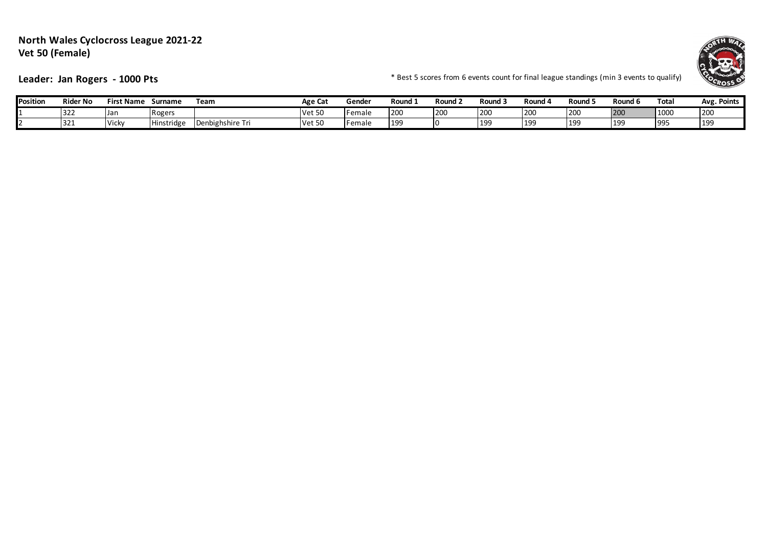#### **North Wales Cyclocross League 2021-22 Vet 50 (Female)**



Leader: Jan Rogers - 1000 Pts **Fig. 2000** Fig. 2014 **Fig. 2016** \* Best 5 scores from 6 events count for final league standings (min 3 events to qualify)

| <b>Position</b> | <b>Rider No</b> | First Name   | Surname      | Team                       | Age Cat       | Gende          | Round      | Round 2    | Round 3    | Round (    | Round .         | Round 6    | Total     | Points<br>Avg.  |
|-----------------|-----------------|--------------|--------------|----------------------------|---------------|----------------|------------|------------|------------|------------|-----------------|------------|-----------|-----------------|
|                 | 322             | IJaı         | Rogers       |                            | tم/۱<br>ここ しこ | Female         | <b>200</b> | <b>120</b> | 200        | 200        | $\sim$<br>1 Z.U | <b>200</b> | 1000      | <b>200</b>      |
|                 | 321             | <b>Vicky</b> | . linstridge | $\sim$<br>)enbighshire Tri | <b>Vet 50</b> | <b>IFemale</b> | 199        | 10         | <b>199</b> | <b>199</b> | 19:             | 190        | <b>99</b> | 19 <sup>c</sup> |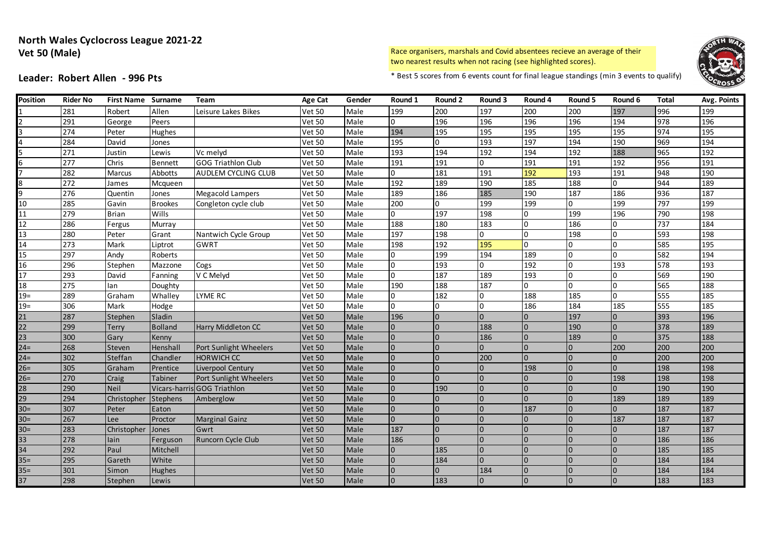#### **North Wales Cyclocross League 2021-22 Vet 50 (Male)**

Race organisers, marshals and Covid absentees recieve an average of their two nearest results when not racing (see highlighted scores).



**Leader: Robert Allen - 996 Pts** \* Best 5 scores from 6 events count for final league standings (min 3 events to qualify)

| <b>Position</b> | <b>Rider No</b>  | <b>First Name Surname</b> |                 | <b>Team</b>                 | <b>Age Cat</b> | Gender | Round 1        | Round 2        | Round 3        | Round 4        | Round 5        | Round 6        | <b>Total</b> | Avg. Points |
|-----------------|------------------|---------------------------|-----------------|-----------------------------|----------------|--------|----------------|----------------|----------------|----------------|----------------|----------------|--------------|-------------|
|                 | 281              | Robert                    | Allen           | Leisure Lakes Bikes         | <b>Vet 50</b>  | Male   | 199            | 200            | 197            | 200            | 200            | 197            | 996          | 199         |
|                 | 291              | George                    | Peers           |                             | <b>Vet 50</b>  | Male   | 0              | 196            | 196            | 196            | 196            | 194            | 978          | 196         |
|                 | $\overline{274}$ | Peter                     | Hughes          |                             | <b>Vet 50</b>  | Male   | 194            | 195            | 195            | 195            | 195            | 195            | 974          | 195         |
|                 | 284              | David                     | Jones           |                             | <b>Vet 50</b>  | Male   | 195            | $\overline{0}$ | 193            | 197            | 194            | 190            | 969          | 194         |
|                 | 271              | Justin                    | Lewis           | Vc melyd                    | <b>Vet 50</b>  | Male   | 193            | 194            | 192            | 194            | 192            | 188            | 965          | 192         |
|                 | 277              | Chris                     | Bennett         | <b>GOG Triathlon Club</b>   | <b>Vet 50</b>  | Male   | 191            | 191            | $\overline{0}$ | 191            | 191            | 192            | 956          | 191         |
|                 | 282              | Marcus                    | Abbotts         | AUDLEM CYCLING CLUB         | <b>Vet 50</b>  | Male   | 0              | 181            | 191            | 192            | 193            | 191            | 948          | 190         |
|                 | 272              | James                     | Mcqueen         |                             | <b>Vet 50</b>  | Male   | 192            | 189            | 190            | 185            | 188            | $\overline{0}$ | 944          | 189         |
|                 | 276              | Quentin                   | Jones           | Megacold Lampers            | <b>Vet 50</b>  | Male   | 189            | 186            | 185            | 190            | 187            | 186            | 936          | 187         |
| 10              | 285              | Gavin                     | <b>Brookes</b>  | Congleton cycle club        | <b>Vet 50</b>  | Male   | 200            | $\overline{0}$ | 199            | 199            | $\overline{0}$ | 199            | 797          | 199         |
| 11              | 279              | <b>Brian</b>              | Wills           |                             | <b>Vet 50</b>  | Male   | 0              | 197            | 198            | $\Omega$       | 199            | 196            | 790          | 198         |
| 12              | 286              | Fergus                    | Murray          |                             | <b>Vet 50</b>  | Male   | 188            | 180            | 183            | 0              | 186            | 0              | 737          | 184         |
| 13              | 280              | Peter                     | Grant           | Nantwich Cycle Group        | <b>Vet 50</b>  | Male   | 197            | 198            | 0              | $\Omega$       | 198            | l0             | 593          | 198         |
| 14              | 273              | Mark                      | Liptrot         | <b>GWRT</b>                 | <b>Vet 50</b>  | Male   | 198            | 192            | 195            | $\Omega$       | l0             | 0              | 585          | 195         |
| 15              | 297              | Andy                      | Roberts         |                             | <b>Vet 50</b>  | Male   | $\Omega$       | 199            | 194            | 189            | l O            | $\Omega$       | 582          | 194         |
| 16              | 296              | Stephen                   | Mazzone         | Cogs                        | <b>Vet 50</b>  | Male   | 0              | 193            | $\overline{0}$ | 192            | l O            | 193            | 578          | 193         |
| 17              | 293              | David                     | Fanning         | V C Melyd                   | <b>Vet 50</b>  | Male   | U              | 187            | 189            | 193            | l <sub>0</sub> | <sup>0</sup>   | 569          | 190         |
| 18              | 275              | lan                       | Doughty         |                             | <b>Vet 50</b>  | Male   | 190            | 188            | 187            | $\Omega$       | l n            | $\Omega$       | 565          | 188         |
| $19=$           | 289              | Graham                    | Whalley         | <b>LYME RC</b>              | <b>Vet 50</b>  | Male   | $\Omega$       | 182            | $\overline{0}$ | 188            | 185            | $\Omega$       | 555          | 185         |
| $19=$           | 306              | Mark                      | Hodge           |                             | <b>Vet 50</b>  | Male   | $\Omega$       | $\Omega$       | $\overline{0}$ | 186            | 184            | 185            | 555          | 185         |
| 21              | 287              | Stephen                   | Sladin          |                             | <b>Vet 50</b>  | Male   | 196            | l0             | $\overline{0}$ | $\Omega$       | 197            | $\Omega$       | 393          | 196         |
| 22              | 299              | Terry                     | <b>Bolland</b>  | Harry Middleton CC          | <b>Vet 50</b>  | Male   | U              | $\overline{0}$ | 188            | $\Omega$       | 190            | $\overline{0}$ | 378          | 189         |
| 23              | 300              | Gary                      | Kenny           |                             | <b>Vet 50</b>  | Male   |                |                | 186            | $\Omega$       | 189            | $\Omega$       | 375          | 188         |
| $24=$           | 268              | Steven                    | Henshall        | Port Sunlight Wheelers      | <b>Vet 50</b>  | Male   |                |                | $\overline{0}$ | $\Omega$       | $\overline{0}$ | 200            | 200          | 200         |
| $24 =$          | 302              | Steffan                   | Chandler        | <b>HORWICH CC</b>           | <b>Vet 50</b>  | Male   |                |                | 200            | $\Omega$       | $\Omega$       |                | 200          | 200         |
| $26=$           | 305              | Graham                    | Prentice        | Liverpool Century           | <b>Vet 50</b>  | Male   |                |                | $\overline{0}$ | 198            | $\Omega$       | $\overline{0}$ | 198          | 198         |
| $26=$           | 270              | Craig                     | <b>Tabiner</b>  | Port Sunlight Wheelers      | <b>Vet 50</b>  | Male   | $\overline{0}$ |                | $\overline{0}$ | $\Omega$       | $\Omega$       | 198            | 198          | 198         |
| 28              | 290              | <b>Neil</b>               |                 | Vicars-harris GOG Triathlon | <b>Vet 50</b>  | Male   | $\Omega$       | 190            | $\overline{0}$ | $\overline{0}$ | $\Omega$       |                | 190          | 190         |
| 29              | 294              | Christopher               | <b>Stephens</b> | Amberglow                   | <b>Vet 50</b>  | Male   | $\Omega$       | $\overline{0}$ | $\Omega$       | $\Omega$       | $\Omega$       | 189            | 189          | 189         |
| $30=$           | 307              | Peter                     | Eaton           |                             | <b>Vet 50</b>  | Male   | $\Omega$       | I0             | $\Omega$       | 187            | $\Omega$       | $\Omega$       | 187          | 187         |
| $30=$           | 267              | Lee                       | Proctor         | <b>Marginal Gainz</b>       | <b>Vet 50</b>  | Male   | $\Omega$       | l0             | $\overline{0}$ | $\Omega$       | $\Omega$       | 187            | 187          | 187         |
| $30=$           | 283              | Christopher               | Jones           | Gwrt                        | <b>Vet 50</b>  | Male   | 187            | $\overline{0}$ | $\Omega$       | $\Omega$       | $\Omega$       | $\Omega$       | 187          | 187         |
| 33              | 278              | lain                      | Ferguson        | <b>Runcorn Cycle Club</b>   | <b>Vet 50</b>  | Male   | 186            | $\overline{0}$ | $\Omega$       | $\Omega$       | $\Omega$       |                | 186          | 186         |
| 34              | 292              | Paul                      | Mitchell        |                             | <b>Vet 50</b>  | Male   |                | 185            | $\Omega$       | $\Omega$       | $\Omega$       |                | 185          | 185         |
| $35 =$          | 295              | Gareth                    | White           |                             | <b>Vet 50</b>  | Male   |                | 184            | $\Omega$       | $\Omega$       | $\Omega$       |                | 184          | 184         |
| $35 =$          | 301              | Simon                     | Hughes          |                             | <b>Vet 50</b>  | Male   |                | $\Omega$       | 184            | $\Omega$       | $\Omega$       |                | 184          | 184         |
| 37              | 298              | Stephen                   | Lewis           |                             | <b>Vet 50</b>  | Male   |                | 183            | 0              | $\Omega$       |                |                | 183          | 183         |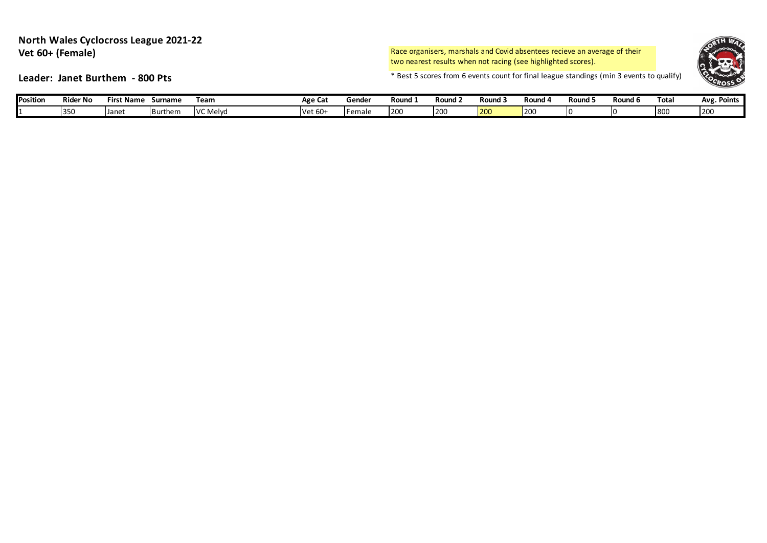#### **North Wales Cyclocross League 2021-22 Vet 60+ (Female)**

Race organisers, marshals and Covid absentees recieve an average of their two nearest results when not racing (see highlighted scores).



**Leader: Janet Burthem - 800 Pts**  $\bullet$  **Leader: Janet Burthem - 800 Pts** 

| <b>Position</b> | <b>Rider No</b> | . .<br>Name<br>כוו־ | Surname | Team     | Age Ca    | Gende  | Round : | Round | Round | Round 4 | Round | Round 6 | Total | Points<br>Ave |
|-----------------|-----------------|---------------------|---------|----------|-----------|--------|---------|-------|-------|---------|-------|---------|-------|---------------|
|                 | 1350            | <b>Jane</b>         | Burthem | VC Melyd | $Net 60+$ | Femaic | 1200    | 200   | 200   | 1200    |       | ''      | 800   | 200           |